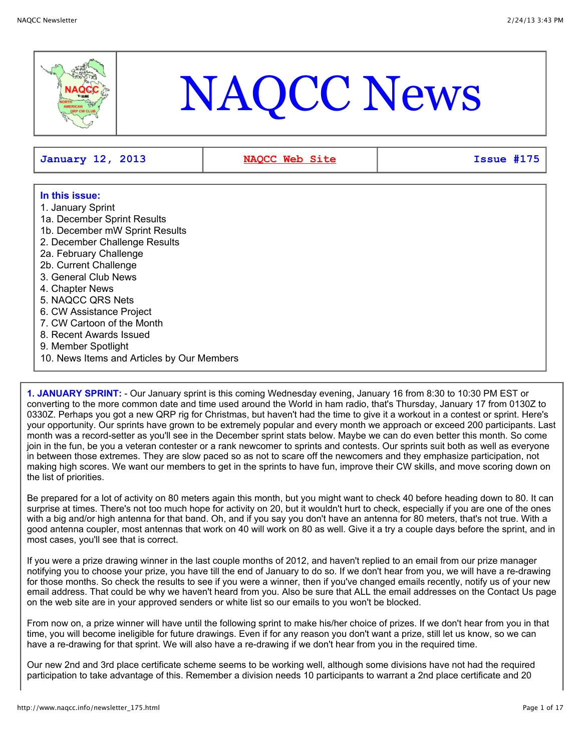

# NAQCC News

**January 12, 2013 [NAQCC Web Site](http://naqcc.info/) Issue #175**

# **In this issue:**

- 1. January Sprint
- 1a. December Sprint Results
- 1b. December mW Sprint Results
- 2. December Challenge Results
- 2a. February Challenge
- 2b. Current Challenge
- 3. General Club News
- 4. Chapter News
- 5. NAQCC QRS Nets
- 6. CW Assistance Project
- 7. CW Cartoon of the Month
- 8. Recent Awards Issued
- 9. Member Spotlight
- 10. News Items and Articles by Our Members

**1. JANUARY SPRINT:** - Our January sprint is this coming Wednesday evening, January 16 from 8:30 to 10:30 PM EST or converting to the more common date and time used around the World in ham radio, that's Thursday, January 17 from 0130Z to 0330Z. Perhaps you got a new QRP rig for Christmas, but haven't had the time to give it a workout in a contest or sprint. Here's your opportunity. Our sprints have grown to be extremely popular and every month we approach or exceed 200 participants. Last month was a record-setter as you'll see in the December sprint stats below. Maybe we can do even better this month. So come join in the fun, be you a veteran contester or a rank newcomer to sprints and contests. Our sprints suit both as well as everyone in between those extremes. They are slow paced so as not to scare off the newcomers and they emphasize participation, not making high scores. We want our members to get in the sprints to have fun, improve their CW skills, and move scoring down on the list of priorities.

Be prepared for a lot of activity on 80 meters again this month, but you might want to check 40 before heading down to 80. It can surprise at times. There's not too much hope for activity on 20, but it wouldn't hurt to check, especially if you are one of the ones with a big and/or high antenna for that band. Oh, and if you say you don't have an antenna for 80 meters, that's not true. With a good antenna coupler, most antennas that work on 40 will work on 80 as well. Give it a try a couple days before the sprint, and in most cases, you'll see that is correct.

If you were a prize drawing winner in the last couple months of 2012, and haven't replied to an email from our prize manager notifying you to choose your prize, you have till the end of January to do so. If we don't hear from you, we will have a re-drawing for those months. So check the results to see if you were a winner, then if you've changed emails recently, notify us of your new email address. That could be why we haven't heard from you. Also be sure that ALL the email addresses on the Contact Us page on the web site are in your approved senders or white list so our emails to you won't be blocked.

From now on, a prize winner will have until the following sprint to make his/her choice of prizes. If we don't hear from you in that time, you will become ineligible for future drawings. Even if for any reason you don't want a prize, still let us know, so we can have a re-drawing for that sprint. We will also have a re-drawing if we don't hear from you in the required time.

Our new 2nd and 3rd place certificate scheme seems to be working well, although some divisions have not had the required participation to take advantage of this. Remember a division needs 10 participants to warrant a 2nd place certificate and 20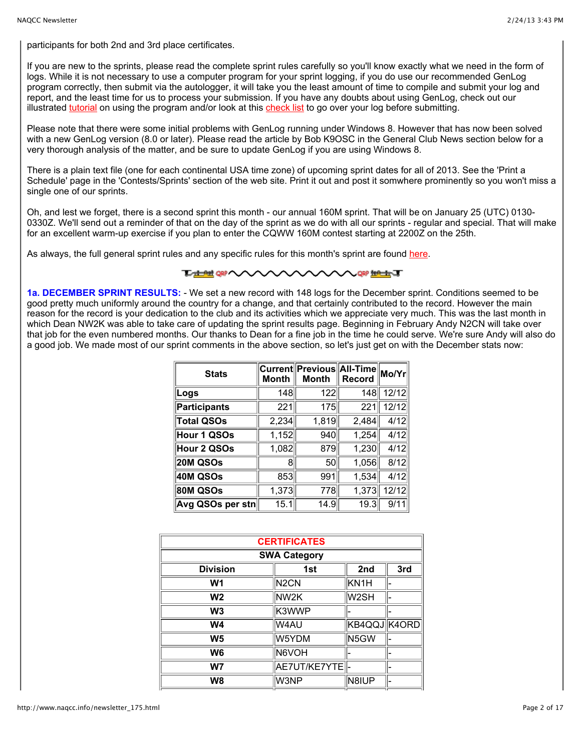participants for both 2nd and 3rd place certificates.

If you are new to the sprints, please read the complete sprint rules carefully so you'll know exactly what we need in the form of logs. While it is not necessary to use a computer program for your sprint logging, if you do use our recommended GenLog program correctly, then submit via the autologger, it will take you the least amount of time to compile and submit your log and report, and the least time for us to process your submission. If you have any doubts about using GenLog, check out our illustrated [tutorial](http://www.naqcc.info/sprint_genlog_tutorial.html) on using the program and/or look at this [check list](http://www.naqcc.info/GL%20Check%20List.txt) to go over your log before submitting.

Please note that there were some initial problems with GenLog running under Windows 8. However that has now been solved with a new GenLog version (8.0 or later). Please read the article by Bob K9OSC in the General Club News section below for a very thorough analysis of the matter, and be sure to update GenLog if you are using Windows 8.

There is a plain text file (one for each continental USA time zone) of upcoming sprint dates for all of 2013. See the 'Print a Schedule' page in the 'Contests/Sprints' section of the web site. Print it out and post it somwhere prominently so you won't miss a single one of our sprints.

Oh, and lest we forget, there is a second sprint this month - our annual 160M sprint. That will be on January 25 (UTC) 0130- 0330Z. We'll send out a reminder of that on the day of the sprint as we do with all our sprints - regular and special. That will make for an excellent warm-up exercise if you plan to enter the CQWW 160M contest starting at 2200Z on the 25th.

As always, the full general sprint rules and any specific rules for this month's sprint are found [here.](http://www.naqcc.info/contests.html)

#### **TALAHORA THAN SO WAR**

**1a. DECEMBER SPRINT RESULTS:** - We set a new record with 148 logs for the December sprint. Conditions seemed to be good pretty much uniformly around the country for a change, and that certainly contributed to the record. However the main reason for the record is your dedication to the club and its activities which we appreciate very much. This was the last month in which Dean NW2K was able to take care of updating the sprint results page. Beginning in February Andy N2CN will take over that job for the even numbered months. Our thanks to Dean for a fine job in the time he could serve. We're sure Andy will also do a good job. We made most of our sprint comments in the above section, so let's just get on with the December stats now:

| <b>Stats</b>        | <b>Month</b> | Current Previous All-Time Mo/Yr<br><b>Month</b> | <b>Record</b> |       |
|---------------------|--------------|-------------------------------------------------|---------------|-------|
| Logs                | 148          | 122                                             | 148           | 12/12 |
| <b>Participants</b> | 221          | 175                                             | 221           | 12/12 |
| <b>Total QSOs</b>   | 2,234        | 1,819                                           | 2,484         | 4/12  |
| Hour 1 QSOs         | 1,152        | 940                                             | 1,254         | 4/12  |
| Hour 2 QSOs         | 1,082        | 879                                             | 1,230         | 4/12  |
| <b>20M QSOs</b>     | 8            | 50                                              | 1,056         | 8/12  |
| 40M QSOs            | 853          | 991                                             | 1,534         | 4/12  |
| <b>80M QSOs</b>     | 1,373        | 778                                             | 1,373         | 12/12 |
| Avg QSOs per stn    | 15.1         | 14.9                                            | 19.3          | 9/11  |

| <b>CERTIFICATES</b> |                   |                   |     |
|---------------------|-------------------|-------------------|-----|
| <b>SWA Category</b> |                   |                   |     |
| <b>Division</b>     | 1st               | 2nd               | 3rd |
| W <sub>1</sub>      | N <sub>2</sub> CN | KN <sub>1</sub> H |     |
| W <sub>2</sub>      | NW2K              | W2SH              |     |
| W <sub>3</sub>      | K3WWP             |                   |     |
| <b>W4</b>           | W4AU              | KB4QQJ K4ORD      |     |
| W <sub>5</sub>      | W5YDM             | N <sub>5GW</sub>  |     |
| W6                  | N6VOH             |                   |     |
| W <sub>7</sub>      | AE7UT/KE7YTE  -   |                   |     |
| W8                  | W3NP              | N8IUP             |     |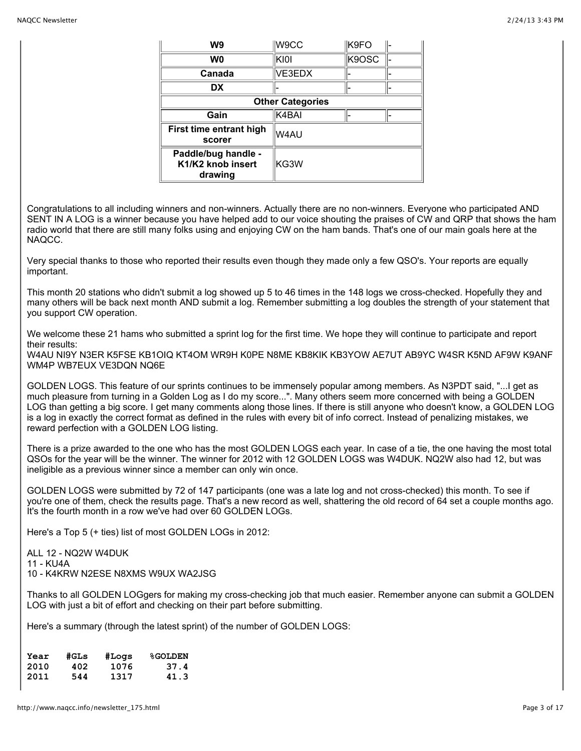| W9                                                  | W9CC   | K9FO  |  |
|-----------------------------------------------------|--------|-------|--|
| W0                                                  | KI0I   | K9OSC |  |
| Canada                                              | VE3EDX |       |  |
| DX                                                  |        |       |  |
| <b>Other Categories</b>                             |        |       |  |
| Gain                                                | K4BAI  |       |  |
| First time entrant high<br>scorer                   | W4AU   |       |  |
| Paddle/bug handle -<br>K1/K2 knob insert<br>drawing | KG3W   |       |  |

Congratulations to all including winners and non-winners. Actually there are no non-winners. Everyone who participated AND SENT IN A LOG is a winner because you have helped add to our voice shouting the praises of CW and QRP that shows the ham radio world that there are still many folks using and enjoying CW on the ham bands. That's one of our main goals here at the NAQCC.

Very special thanks to those who reported their results even though they made only a few QSO's. Your reports are equally important.

This month 20 stations who didn't submit a log showed up 5 to 46 times in the 148 logs we cross-checked. Hopefully they and many others will be back next month AND submit a log. Remember submitting a log doubles the strength of your statement that you support CW operation.

We welcome these 21 hams who submitted a sprint log for the first time. We hope they will continue to participate and report their results:

W4AU NI9Y N3ER K5FSE KB1OIQ KT4OM WR9H K0PE N8ME KB8KIK KB3YOW AE7UT AB9YC W4SR K5ND AF9W K9ANF WM4P WB7EUX VE3DQN NQ6E

GOLDEN LOGS. This feature of our sprints continues to be immensely popular among members. As N3PDT said, "...I get as much pleasure from turning in a Golden Log as I do my score...". Many others seem more concerned with being a GOLDEN LOG than getting a big score. I get many comments along those lines. If there is still anyone who doesn't know, a GOLDEN LOG is a log in exactly the correct format as defined in the rules with every bit of info correct. Instead of penalizing mistakes, we reward perfection with a GOLDEN LOG listing.

There is a prize awarded to the one who has the most GOLDEN LOGS each year. In case of a tie, the one having the most total QSOs for the year will be the winner. The winner for 2012 with 12 GOLDEN LOGS was W4DUK. NQ2W also had 12, but was ineligible as a previous winner since a member can only win once.

GOLDEN LOGS were submitted by 72 of 147 participants (one was a late log and not cross-checked) this month. To see if you're one of them, check the results page. That's a new record as well, shattering the old record of 64 set a couple months ago. It's the fourth month in a row we've had over 60 GOLDEN LOGs.

Here's a Top 5 (+ ties) list of most GOLDEN LOGs in 2012:

ALL 12 - NQ2W W4DUK 11 - KU4A 10 - K4KRW N2ESE N8XMS W9UX WA2JSG

Thanks to all GOLDEN LOGgers for making my cross-checking job that much easier. Remember anyone can submit a GOLDEN LOG with just a bit of effort and checking on their part before submitting.

Here's a summary (through the latest sprint) of the number of GOLDEN LOGS:

| Year | #GLs | #Logs | <b>%GOLDEN</b> |
|------|------|-------|----------------|
| 2010 | 402  | 1076  | 37.4           |
| 2011 | 544  | 1317  | 41.3           |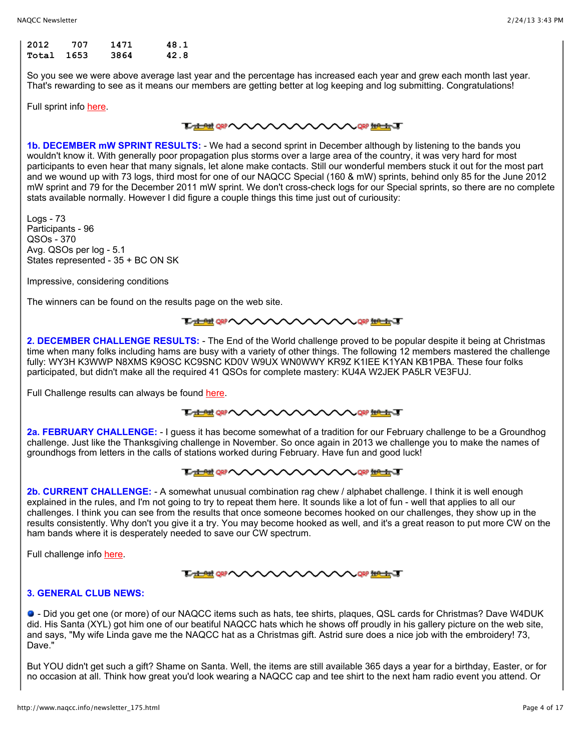| 2012  | 707    | 1471 | 48.1 |
|-------|--------|------|------|
| Total | - 1653 | 3864 | 42.8 |

So you see we were above average last year and the percentage has increased each year and grew each month last year. That's rewarding to see as it means our members are getting better at log keeping and log submitting. Congratulations!

Full sprint info [here.](http://www.naqcc.info/contests.html)

# **THE OF WARRANT**

**1b. DECEMBER mW SPRINT RESULTS:** - We had a second sprint in December although by listening to the bands you wouldn't know it. With generally poor propagation plus storms over a large area of the country, it was very hard for most participants to even hear that many signals, let alone make contacts. Still our wonderful members stuck it out for the most part and we wound up with 73 logs, third most for one of our NAQCC Special (160 & mW) sprints, behind only 85 for the June 2012 mW sprint and 79 for the December 2011 mW sprint. We don't cross-check logs for our Special sprints, so there are no complete stats available normally. However I did figure a couple things this time just out of curiousity:

Logs - 73 Participants - 96 QSOs - 370 Avg. QSOs per log - 5.1 States represented - 35 + BC ON SK

Impressive, considering conditions

The winners can be found on the results page on the web site.

## **LANG ON A CAN A CAN A CAN A CAN A CAN A CAN A CAN A CAN A CAN A CAN A CAN A CAN A CAN A CAN A CAN A CAN A CAN A**

**2. DECEMBER CHALLENGE RESULTS:** - The End of the World challenge proved to be popular despite it being at Christmas time when many folks including hams are busy with a variety of other things. The following 12 members mastered the challenge fully: WY3H K3WWP N8XMS K9OSC KC9SNC KD0V W9UX WN0WWY KR9Z K1IEE K1YAN KB1PBA. These four folks participated, but didn't make all the required 41 QSOs for complete mastery: KU4A W2JEK PA5LR VE3FUJ.

Full Challenge results can always be found [here.](http://www.naqcc.info/challenges.html)

**THE GRAMMAN WANTAIT** 

**2a. FEBRUARY CHALLENGE:** - I guess it has become somewhat of a tradition for our February challenge to be a Groundhog challenge. Just like the Thanksgiving challenge in November. So once again in 2013 we challenge you to make the names of groundhogs from letters in the calls of stations worked during February. Have fun and good luck!

#### **TACHE ORP A NORPHALL**

**2b. CURRENT CHALLENGE:** - A somewhat unusual combination rag chew / alphabet challenge. I think it is well enough explained in the rules, and I'm not going to try to repeat them here. It sounds like a lot of fun - well that applies to all our challenges. I think you can see from the results that once someone becomes hooked on our challenges, they show up in the results consistently. Why don't you give it a try. You may become hooked as well, and it's a great reason to put more CW on the ham bands where it is desperately needed to save our CW spectrum.

Full challenge info [here.](http://www.naqcc.info/challenges.html)

#### **THE OF A AVAVAVA CHERRIS AVE**

## **3. GENERAL CLUB NEWS:**

 - Did you get one (or more) of our NAQCC items such as hats, tee shirts, plaques, QSL cards for Christmas? Dave W4DUK did. His Santa (XYL) got him one of our beatiful NAQCC hats which he shows off proudly in his gallery picture on the web site, and says, "My wife Linda gave me the NAQCC hat as a Christmas gift. Astrid sure does a nice job with the embroidery! 73, Dave."

But YOU didn't get such a gift? Shame on Santa. Well, the items are still available 365 days a year for a birthday, Easter, or for no occasion at all. Think how great you'd look wearing a NAQCC cap and tee shirt to the next ham radio event you attend. Or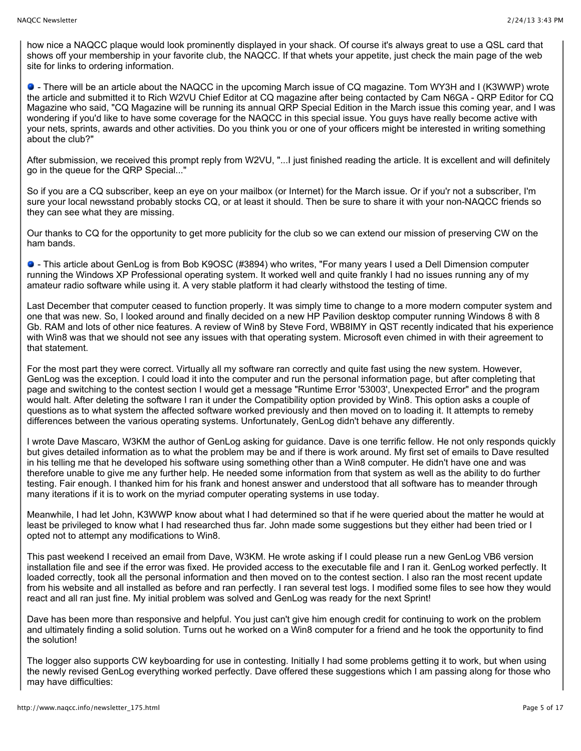how nice a NAQCC plaque would look prominently displayed in your shack. Of course it's always great to use a QSL card that shows off your membership in your favorite club, the NAQCC. If that whets your appetite, just check the main page of the web site for links to ordering information.

 - There will be an article about the NAQCC in the upcoming March issue of CQ magazine. Tom WY3H and I (K3WWP) wrote the article and submitted it to Rich W2VU Chief Editor at CQ magazine after being contacted by Cam N6GA - QRP Editor for CQ Magazine who said, "CQ Magazine will be running its annual QRP Special Edition in the March issue this coming year, and I was wondering if you'd like to have some coverage for the NAQCC in this special issue. You guys have really become active with your nets, sprints, awards and other activities. Do you think you or one of your officers might be interested in writing something about the club?"

After submission, we received this prompt reply from W2VU, "...I just finished reading the article. It is excellent and will definitely go in the queue for the QRP Special..."

So if you are a CQ subscriber, keep an eye on your mailbox (or Internet) for the March issue. Or if you'r not a subscriber, I'm sure your local newsstand probably stocks CQ, or at least it should. Then be sure to share it with your non-NAQCC friends so they can see what they are missing.

Our thanks to CQ for the opportunity to get more publicity for the club so we can extend our mission of preserving CW on the ham bands.

 - This article about GenLog is from Bob K9OSC (#3894) who writes, "For many years I used a Dell Dimension computer running the Windows XP Professional operating system. It worked well and quite frankly I had no issues running any of my amateur radio software while using it. A very stable platform it had clearly withstood the testing of time.

Last December that computer ceased to function properly. It was simply time to change to a more modern computer system and one that was new. So, I looked around and finally decided on a new HP Pavilion desktop computer running Windows 8 with 8 Gb. RAM and lots of other nice features. A review of Win8 by Steve Ford, WB8IMY in QST recently indicated that his experience with Win8 was that we should not see any issues with that operating system. Microsoft even chimed in with their agreement to that statement.

For the most part they were correct. Virtually all my software ran correctly and quite fast using the new system. However, GenLog was the exception. I could load it into the computer and run the personal information page, but after completing that page and switching to the contest section I would get a message "Runtime Error '53003', Unexpected Error" and the program would halt. After deleting the software I ran it under the Compatibility option provided by Win8. This option asks a couple of questions as to what system the affected software worked previously and then moved on to loading it. It attempts to remeby differences between the various operating systems. Unfortunately, GenLog didn't behave any differently.

I wrote Dave Mascaro, W3KM the author of GenLog asking for guidance. Dave is one terrific fellow. He not only responds quickly but gives detailed information as to what the problem may be and if there is work around. My first set of emails to Dave resulted in his telling me that he developed his software using something other than a Win8 computer. He didn't have one and was therefore unable to give me any further help. He needed some information from that system as well as the ability to do further testing. Fair enough. I thanked him for his frank and honest answer and understood that all software has to meander through many iterations if it is to work on the myriad computer operating systems in use today.

Meanwhile, I had let John, K3WWP know about what I had determined so that if he were queried about the matter he would at least be privileged to know what I had researched thus far. John made some suggestions but they either had been tried or I opted not to attempt any modifications to Win8.

This past weekend I received an email from Dave, W3KM. He wrote asking if I could please run a new GenLog VB6 version installation file and see if the error was fixed. He provided access to the executable file and I ran it. GenLog worked perfectly. It loaded correctly, took all the personal information and then moved on to the contest section. I also ran the most recent update from his website and all installed as before and ran perfectly. I ran several test logs. I modified some files to see how they would react and all ran just fine. My initial problem was solved and GenLog was ready for the next Sprint!

Dave has been more than responsive and helpful. You just can't give him enough credit for continuing to work on the problem and ultimately finding a solid solution. Turns out he worked on a Win8 computer for a friend and he took the opportunity to find the solution!

The logger also supports CW keyboarding for use in contesting. Initially I had some problems getting it to work, but when using the newly revised GenLog everything worked perfectly. Dave offered these suggestions which I am passing along for those who may have difficulties: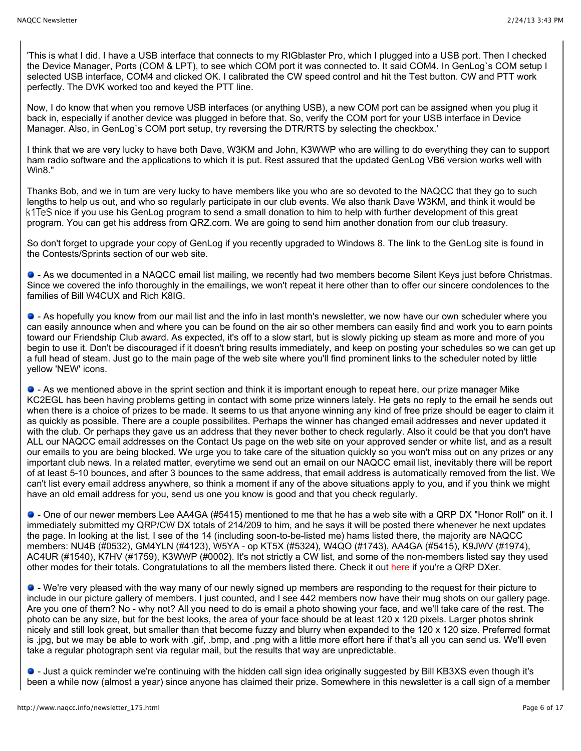'This is what I did. I have a USB interface that connects to my RIGblaster Pro, which I plugged into a USB port. Then I checked the Device Manager, Ports (COM & LPT), to see which COM port it was connected to. It said COM4. In GenLog`s COM setup I selected USB interface, COM4 and clicked OK. I calibrated the CW speed control and hit the Test button. CW and PTT work perfectly. The DVK worked too and keyed the PTT line.

Now, I do know that when you remove USB interfaces (or anything USB), a new COM port can be assigned when you plug it back in, especially if another device was plugged in before that. So, verify the COM port for your USB interface in Device Manager. Also, in GenLog`s COM port setup, try reversing the DTR/RTS by selecting the checkbox.'

I think that we are very lucky to have both Dave, W3KM and John, K3WWP who are willing to do everything they can to support ham radio software and the applications to which it is put. Rest assured that the updated GenLog VB6 version works well with Win8."

Thanks Bob, and we in turn are very lucky to have members like you who are so devoted to the NAQCC that they go to such lengths to help us out, and who so regularly participate in our club events. We also thank Dave W3KM, and think it would be k1TeS nice if you use his GenLog program to send a small donation to him to help with further development of this great program. You can get his address from QRZ.com. We are going to send him another donation from our club treasury.

So don't forget to upgrade your copy of GenLog if you recently upgraded to Windows 8. The link to the GenLog site is found in the Contests/Sprints section of our web site.

 - As we documented in a NAQCC email list mailing, we recently had two members become Silent Keys just before Christmas. Since we covered the info thoroughly in the emailings, we won't repeat it here other than to offer our sincere condolences to the families of Bill W4CUX and Rich K8IG.

 $\bullet$  - As hopefully you know from our mail list and the info in last month's newsletter, we now have our own scheduler where you can easily announce when and where you can be found on the air so other members can easily find and work you to earn points toward our Friendship Club award. As expected, it's off to a slow start, but is slowly picking up steam as more and more of you begin to use it. Don't be discouraged if it doesn't bring results immediately, and keep on posting your schedules so we can get up a full head of steam. Just go to the main page of the web site where you'll find prominent links to the scheduler noted by little yellow 'NEW' icons.

 - As we mentioned above in the sprint section and think it is important enough to repeat here, our prize manager Mike KC2EGL has been having problems getting in contact with some prize winners lately. He gets no reply to the email he sends out when there is a choice of prizes to be made. It seems to us that anyone winning any kind of free prize should be eager to claim it as quickly as possible. There are a couple possibilites. Perhaps the winner has changed email addresses and never updated it with the club. Or perhaps they gave us an address that they never bother to check regularly. Also it could be that you don't have ALL our NAQCC email addresses on the Contact Us page on the web site on your approved sender or white list, and as a result our emails to you are being blocked. We urge you to take care of the situation quickly so you won't miss out on any prizes or any important club news. In a related matter, everytime we send out an email on our NAQCC email list, inevitably there will be report of at least 5-10 bounces, and after 3 bounces to the same address, that email address is automatically removed from the list. We can't list every email address anywhere, so think a moment if any of the above situations apply to you, and if you think we might have an old email address for you, send us one you know is good and that you check regularly.

 - One of our newer members Lee AA4GA (#5415) mentioned to me that he has a web site with a QRP DX "Honor Roll" on it. I immediately submitted my QRP/CW DX totals of 214/209 to him, and he says it will be posted there whenever he next updates the page. In looking at the list, I see of the 14 (including soon-to-be-listed me) hams listed there, the majority are NAQCC members: NU4B (#0532), GM4YLN (#4123), W5YA - op KT5X (#5324), W4QO (#1743), AA4GA (#5415), K9JWV (#1974), AC4UR (#1540), K7HV (#1759), K3WWP (#0002). It's not strictly a CW list, and some of the non-members listed say they used other modes for their totals. Congratulations to all the members listed there. Check it out [here](http://www.aa4ga.com/p/qrp-dxcc.html) if you're a QRP DXer.

 - We're very pleased with the way many of our newly signed up members are responding to the request for their picture to include in our picture gallery of members. I just counted, and I see 442 members now have their mug shots on our gallery page. Are you one of them? No - why not? All you need to do is email a photo showing your face, and we'll take care of the rest. The photo can be any size, but for the best looks, the area of your face should be at least 120 x 120 pixels. Larger photos shrink nicely and still look great, but smaller than that become fuzzy and blurry when expanded to the 120 x 120 size. Preferred format is .jpg, but we may be able to work with .gif, .bmp, and .png with a little more effort here if that's all you can send us. We'll even take a regular photograph sent via regular mail, but the results that way are unpredictable.

 - Just a quick reminder we're continuing with the hidden call sign idea originally suggested by Bill KB3XS even though it's been a while now (almost a year) since anyone has claimed their prize. Somewhere in this newsletter is a call sign of a member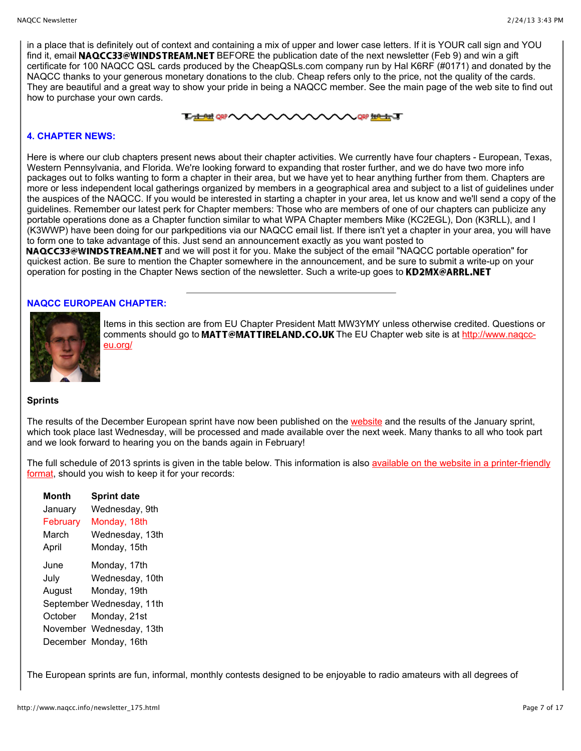in a place that is definitely out of context and containing a mix of upper and lower case letters. If it is YOUR call sign and YOU find it, email NAQCC33@WINDSTREAM.NET BEFORE the publication date of the next newsletter (Feb 9) and win a gift certificate for 100 NAQCC QSL cards produced by the CheapQSLs.com company run by Hal K6RF (#0171) and donated by the NAQCC thanks to your generous monetary donations to the club. Cheap refers only to the price, not the quality of the cards. They are beautiful and a great way to show your pride in being a NAQCC member. See the main page of the web site to find out how to purchase your own cards.

# **THAN OR ANY ANY AVAILABLE TO A GRANT**

# **4. CHAPTER NEWS:**

Here is where our club chapters present news about their chapter activities. We currently have four chapters - European, Texas, Western Pennsylvania, and Florida. We're looking forward to expanding that roster further, and we do have two more info packages out to folks wanting to form a chapter in their area, but we have yet to hear anything further from them. Chapters are more or less independent local gatherings organized by members in a geographical area and subject to a list of guidelines under the auspices of the NAQCC. If you would be interested in starting a chapter in your area, let us know and we'll send a copy of the guidelines. Remember our latest perk for Chapter members: Those who are members of one of our chapters can publicize any portable operations done as a Chapter function similar to what WPA Chapter members Mike (KC2EGL), Don (K3RLL), and I (K3WWP) have been doing for our parkpeditions via our NAQCC email list. If there isn't yet a chapter in your area, you will have to form one to take advantage of this. Just send an announcement exactly as you want posted to

NAQCC33@WINDSTREAM.NET and we will post it for you. Make the subject of the email "NAQCC portable operation" for quickest action. Be sure to mention the Chapter somewhere in the announcement, and be sure to submit a write-up on your operation for posting in the Chapter News section of the newsletter. Such a write-up goes to KD2MX@ARRL.NET

# **NAQCC EUROPEAN CHAPTER:**



Items in this section are from EU Chapter President Matt MW3YMY unless otherwise credited. Questions or comments should go to MATT@MATTIRELAND.CO.UK The EU Chapter web site is at http://www.nagcceu.org/

# **Sprints**

The results of the December European sprint have now been published on the [website](http://naqcc-eu.org/) and the results of the January sprint, which took place last Wednesday, will be processed and made available over the next week. Many thanks to all who took part and we look forward to hearing you on the bands again in February!

[The full schedule of 2013 sprints is given in the table below. This information is also available on the website in a printer-friendly](http://naqcc-eu.org/sprints/rules/2013_sprint_schedule.pdf) format, should you wish to keep it for your records:

| <b>Month</b> | <b>Sprint date</b>        |
|--------------|---------------------------|
| January      | Wednesday, 9th            |
| February     | Monday, 18th              |
| March        | Wednesday, 13th           |
| April        | Monday, 15th              |
| June         | Monday, 17th              |
| July         | Wednesday, 10th           |
| August       | Monday, 19th              |
|              | September Wednesday, 11th |
| October      | Monday, 21st              |
|              | November Wednesday, 13th  |
|              | December Monday, 16th     |

The European sprints are fun, informal, monthly contests designed to be enjoyable to radio amateurs with all degrees of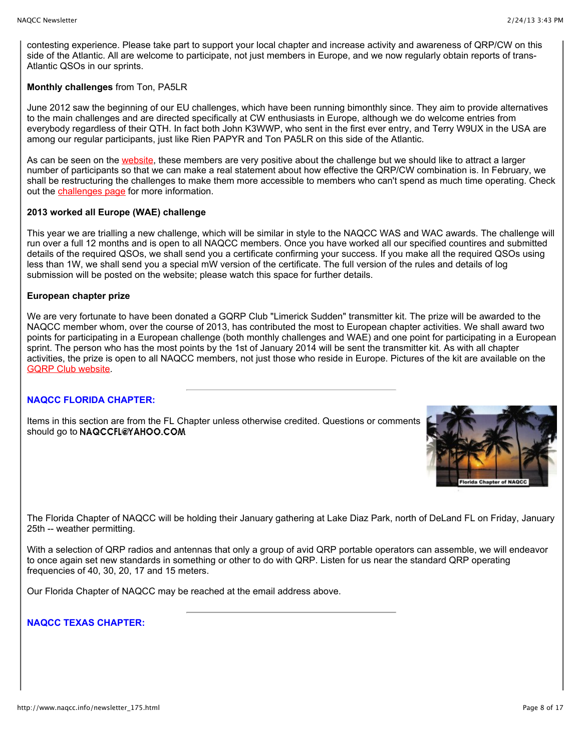contesting experience. Please take part to support your local chapter and increase activity and awareness of QRP/CW on this side of the Atlantic. All are welcome to participate, not just members in Europe, and we now regularly obtain reports of trans-Atlantic QSOs in our sprints.

# **Monthly challenges** from Ton, PA5LR

June 2012 saw the beginning of our EU challenges, which have been running bimonthly since. They aim to provide alternatives to the main challenges and are directed specifically at CW enthusiasts in Europe, although we do welcome entries from everybody regardless of their QTH. In fact both John K3WWP, who sent in the first ever entry, and Terry W9UX in the USA are among our regular participants, just like Rien PAPYR and Ton PA5LR on this side of the Atlantic.

As can be seen on the [website,](http://naqcc-eu.org/eu-challenges) these members are very positive about the challenge but we should like to attract a larger number of participants so that we can make a real statement about how effective the QRP/CW combination is. In February, we shall be restructuring the challenges to make them more accessible to members who can't spend as much time operating. Check out the [challenges page](http://naqcc-eu.org/eu-challenges) for more information.

## **2013 worked all Europe (WAE) challenge**

This year we are trialling a new challenge, which will be similar in style to the NAQCC WAS and WAC awards. The challenge will run over a full 12 months and is open to all NAQCC members. Once you have worked all our specified countires and submitted details of the required QSOs, we shall send you a certificate confirming your success. If you make all the required QSOs using less than 1W, we shall send you a special mW version of the certificate. The full version of the rules and details of log submission will be posted on the website; please watch this space for further details.

## **European chapter prize**

We are very fortunate to have been donated a GQRP Club "Limerick Sudden" transmitter kit. The prize will be awarded to the NAQCC member whom, over the course of 2013, has contributed the most to European chapter activities. We shall award two points for participating in a European challenge (both monthly challenges and WAE) and one point for participating in a European sprint. The person who has the most points by the 1st of January 2014 will be sent the transmitter kit. As with all chapter activities, the prize is open to all NAQCC members, not just those who reside in Europe. Pictures of the kit are available on the [GQRP Club website.](http://www.gqrp.com/sudden2.htm)

# **NAQCC FLORIDA CHAPTER:**

Items in this section are from the FL Chapter unless otherwise credited. Questions or comments should go to NAQCCFL@YAHOO.COM



The Florida Chapter of NAQCC will be holding their January gathering at Lake Diaz Park, north of DeLand FL on Friday, January 25th -- weather permitting.

With a selection of QRP radios and antennas that only a group of avid QRP portable operators can assemble, we will endeavor to once again set new standards in something or other to do with QRP. Listen for us near the standard QRP operating frequencies of 40, 30, 20, 17 and 15 meters.

Our Florida Chapter of NAQCC may be reached at the email address above.

# **NAQCC TEXAS CHAPTER:**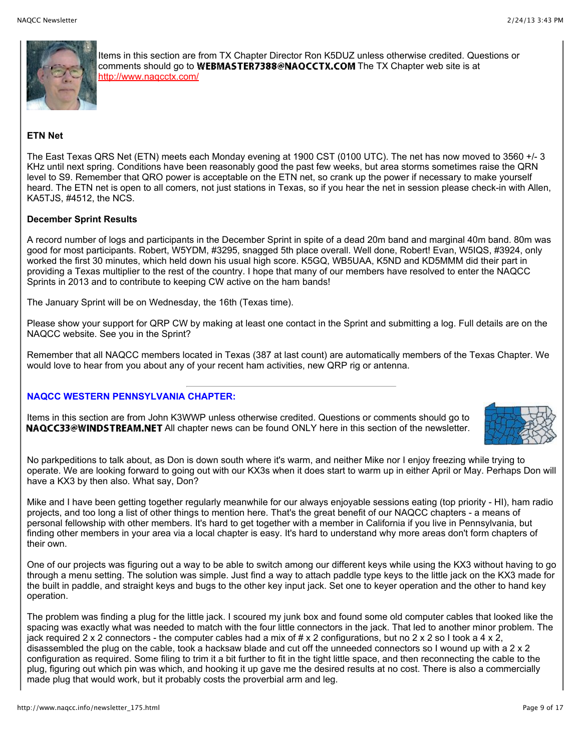

Items in this section are from TX Chapter Director Ron K5DUZ unless otherwise credited. Questions or comments should go to WEBMASTER7388@NAOCCTX.COM The TX Chapter web site is at <http://www.naqcctx.com/>

# **ETN Net**

The East Texas QRS Net (ETN) meets each Monday evening at 1900 CST (0100 UTC). The net has now moved to 3560 +/- 3 KHz until next spring. Conditions have been reasonably good the past few weeks, but area storms sometimes raise the QRN level to S9. Remember that QRO power is acceptable on the ETN net, so crank up the power if necessary to make yourself heard. The ETN net is open to all comers, not just stations in Texas, so if you hear the net in session please check-in with Allen, KA5TJS, #4512, the NCS.

# **December Sprint Results**

A record number of logs and participants in the December Sprint in spite of a dead 20m band and marginal 40m band. 80m was good for most participants. Robert, W5YDM, #3295, snagged 5th place overall. Well done, Robert! Evan, W5IQS, #3924, only worked the first 30 minutes, which held down his usual high score. K5GQ, WB5UAA, K5ND and KD5MMM did their part in providing a Texas multiplier to the rest of the country. I hope that many of our members have resolved to enter the NAQCC Sprints in 2013 and to contribute to keeping CW active on the ham bands!

The January Sprint will be on Wednesday, the 16th (Texas time).

Please show your support for QRP CW by making at least one contact in the Sprint and submitting a log. Full details are on the NAQCC website. See you in the Sprint?

Remember that all NAQCC members located in Texas (387 at last count) are automatically members of the Texas Chapter. We would love to hear from you about any of your recent ham activities, new QRP rig or antenna.

# **NAQCC WESTERN PENNSYLVANIA CHAPTER:**

Items in this section are from John K3WWP unless otherwise credited. Questions or comments should go to NAQCC33@WINDSTREAM.NET All chapter news can be found ONLY here in this section of the newsletter.



No parkpeditions to talk about, as Don is down south where it's warm, and neither Mike nor I enjoy freezing while trying to operate. We are looking forward to going out with our KX3s when it does start to warm up in either April or May. Perhaps Don will have a KX3 by then also. What say, Don?

Mike and I have been getting together regularly meanwhile for our always enjoyable sessions eating (top priority - HI), ham radio projects, and too long a list of other things to mention here. That's the great benefit of our NAQCC chapters - a means of personal fellowship with other members. It's hard to get together with a member in California if you live in Pennsylvania, but finding other members in your area via a local chapter is easy. It's hard to understand why more areas don't form chapters of their own.

One of our projects was figuring out a way to be able to switch among our different keys while using the KX3 without having to go through a menu setting. The solution was simple. Just find a way to attach paddle type keys to the little jack on the KX3 made for the built in paddle, and straight keys and bugs to the other key input jack. Set one to keyer operation and the other to hand key operation.

The problem was finding a plug for the little jack. I scoured my junk box and found some old computer cables that looked like the spacing was exactly what was needed to match with the four little connectors in the jack. That led to another minor problem. The jack required 2 x 2 connectors - the computer cables had a mix of  $\#$  x 2 configurations, but no 2 x 2 so I took a 4 x 2, disassembled the plug on the cable, took a hacksaw blade and cut off the unneeded connectors so I wound up with a 2 x 2 configuration as required. Some filing to trim it a bit further to fit in the tight little space, and then reconnecting the cable to the plug, figuring out which pin was which, and hooking it up gave me the desired results at no cost. There is also a commercially made plug that would work, but it probably costs the proverbial arm and leg.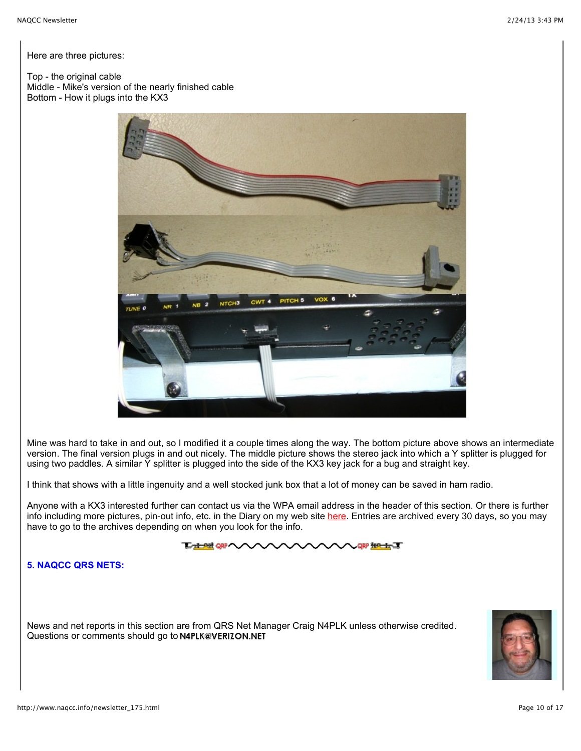Here are three pictures:

Top - the original cable Middle - Mike's version of the nearly finished cable Bottom - How it plugs into the KX3



Mine was hard to take in and out, so I modified it a couple times along the way. The bottom picture above shows an intermediate version. The final version plugs in and out nicely. The middle picture shows the stereo jack into which a Y splitter is plugged for using two paddles. A similar Y splitter is plugged into the side of the KX3 key jack for a bug and straight key.

I think that shows with a little ingenuity and a well stocked junk box that a lot of money can be saved in ham radio.

Anyone with a KX3 interested further can contact us via the WPA email address in the header of this section. Or there is further info including more pictures, pin-out info, etc. in the Diary on my web site [here](http://home.windstream.net/johnshan/home_ss_diary.html). Entries are archived every 30 days, so you may have to go to the archives depending on when you look for the info.

# **THAN 98 WAY AND A SHOP AND SHOP AND SHOPLART**

**5. NAQCC QRS NETS:**

News and net reports in this section are from QRS Net Manager Craig N4PLK unless otherwise credited. Questions or comments should go to N4PLK@VERIZON.NET

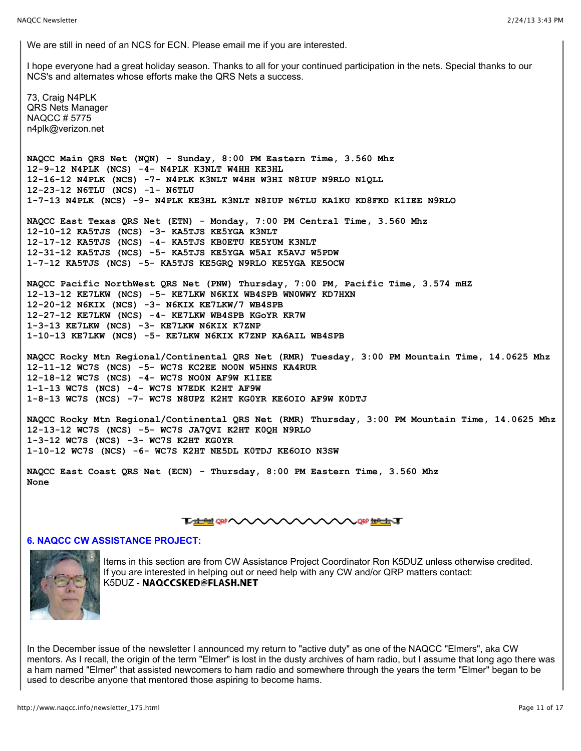We are still in need of an NCS for ECN. Please email me if you are interested.

I hope everyone had a great holiday season. Thanks to all for your continued participation in the nets. Special thanks to our NCS's and alternates whose efforts make the QRS Nets a success.

73, Craig N4PLK QRS Nets Manager NAQCC # 5775 n4plk@verizon.net **NAQCC Main QRS Net (NQN) - Sunday, 8:00 PM Eastern Time, 3.560 Mhz 12-9-12 N4PLK (NCS) -4- N4PLK K3NLT W4HH KE3HL 12-16-12 N4PLK (NCS) -7- N4PLK K3NLT W4HH W3HI N8IUP N9RLO N1QLL 12-23-12 N6TLU (NCS) -1- N6TLU 1-7-13 N4PLK (NCS) -9- N4PLK KE3HL K3NLT N8IUP N6TLU KA1KU KD8FKD K1IEE N9RLO NAQCC East Texas QRS Net (ETN) - Monday, 7:00 PM Central Time, 3.560 Mhz 12-10-12 KA5TJS (NCS) -3- KA5TJS KE5YGA K3NLT 12-17-12 KA5TJS (NCS) -4- KA5TJS KB0ETU KE5YUM K3NLT 12-31-12 KA5TJS (NCS) -5- KA5TJS KE5YGA W5AI K5AVJ W5PDW 1-7-12 KA5TJS (NCS) -5- KA5TJS KE5GRQ N9RLO KE5YGA KE5OCW NAQCC Pacific NorthWest QRS Net (PNW) Thursday, 7:00 PM, Pacific Time, 3.574 mHZ 12-13-12 KE7LKW (NCS) -5- KE7LKW N6KIX WB4SPB WN0WWY KD7HXN 12-20-12 N6KIX (NCS) -3- N6KIX KE7LKW/7 WB4SPB 12-27-12 KE7LKW (NCS) -4- KE7LKW WB4SPB KGoYR KR7W 1-3-13 KE7LKW (NCS) -3- KE7LKW N6KIX K7ZNP 1-10-13 KE7LKW (NCS) -5- KE7LKW N6KIX K7ZNP KA6AIL WB4SPB NAQCC Rocky Mtn Regional/Continental QRS Net (RMR) Tuesday, 3:00 PM Mountain Time, 14.0625 Mhz 12-11-12 WC7S (NCS) -5- WC7S KC2EE NO0N W5HNS KA4RUR 12-18-12 WC7S (NCS) -4- WC7S NO0N AF9W K1IEE 1-1-13 WC7S (NCS) -4- WC7S N7EDK K2HT AF9W 1-8-13 WC7S (NCS) -7- WC7S N8UPZ K2HT KG0YR KE6OIO AF9W K0DTJ NAQCC Rocky Mtn Regional/Continental QRS Net (RMR) Thursday, 3:00 PM Mountain Time, 14.0625 Mhz 12-13-12 WC7S (NCS) -5- WC7S JA7QVI K2HT K0QH N9RLO 1-3-12 WC7S (NCS) -3- WC7S K2HT KG0YR 1-10-12 WC7S (NCS) -6- WC7S K2HT NE5DL K0TDJ KE6OIO N3SW**

**NAQCC East Coast QRS Net (ECN) - Thursday, 8:00 PM Eastern Time, 3.560 Mhz None**

# **THE OF WANNANNAN HALL**

# **6. NAQCC CW ASSISTANCE PROJECT:**



Items in this section are from CW Assistance Project Coordinator Ron K5DUZ unless otherwise credited. If you are interested in helping out or need help with any CW and/or QRP matters contact: K5DUZ - NAQCCSKED@FLASH.NET

In the December issue of the newsletter I announced my return to "active duty" as one of the NAQCC "Elmers", aka CW mentors. As I recall, the origin of the term "Elmer" is lost in the dusty archives of ham radio, but I assume that long ago there was a ham named "Elmer" that assisted newcomers to ham radio and somewhere through the years the term "Elmer" began to be used to describe anyone that mentored those aspiring to become hams.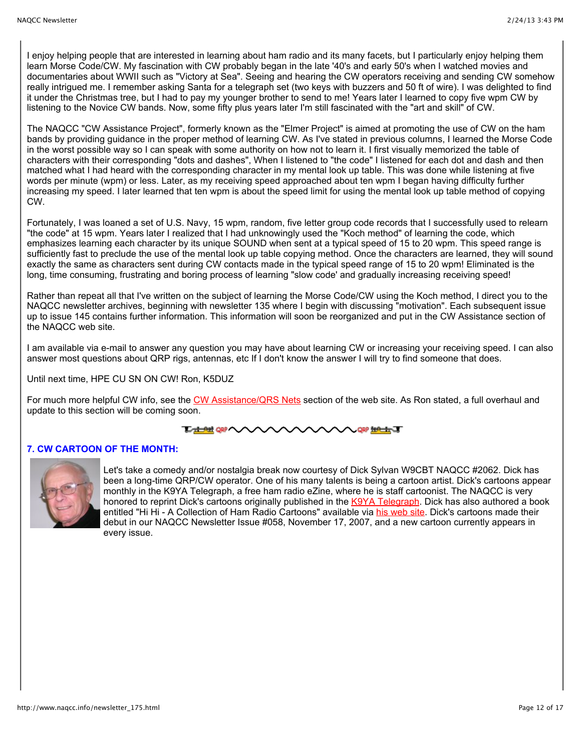I enjoy helping people that are interested in learning about ham radio and its many facets, but I particularly enjoy helping them learn Morse Code/CW. My fascination with CW probably began in the late '40's and early 50's when I watched movies and documentaries about WWII such as "Victory at Sea". Seeing and hearing the CW operators receiving and sending CW somehow really intrigued me. I remember asking Santa for a telegraph set (two keys with buzzers and 50 ft of wire). I was delighted to find it under the Christmas tree, but I had to pay my younger brother to send to me! Years later I learned to copy five wpm CW by listening to the Novice CW bands. Now, some fifty plus years later I'm still fascinated with the "art and skill" of CW.

The NAQCC "CW Assistance Project", formerly known as the "Elmer Project" is aimed at promoting the use of CW on the ham bands by providing guidance in the proper method of learning CW. As I've stated in previous columns, I learned the Morse Code in the worst possible way so I can speak with some authority on how not to learn it. I first visually memorized the table of characters with their corresponding "dots and dashes", When I listened to "the code" I listened for each dot and dash and then matched what I had heard with the corresponding character in my mental look up table. This was done while listening at five words per minute (wpm) or less. Later, as my receiving speed approached about ten wpm I began having difficulty further increasing my speed. I later learned that ten wpm is about the speed limit for using the mental look up table method of copying CW.

Fortunately, I was loaned a set of U.S. Navy, 15 wpm, random, five letter group code records that I successfully used to relearn "the code" at 15 wpm. Years later I realized that I had unknowingly used the "Koch method" of learning the code, which emphasizes learning each character by its unique SOUND when sent at a typical speed of 15 to 20 wpm. This speed range is sufficiently fast to preclude the use of the mental look up table copying method. Once the characters are learned, they will sound exactly the same as characters sent during CW contacts made in the typical speed range of 15 to 20 wpm! Eliminated is the long, time consuming, frustrating and boring process of learning "slow code' and gradually increasing receiving speed!

Rather than repeat all that I've written on the subject of learning the Morse Code/CW using the Koch method, I direct you to the NAQCC newsletter archives, beginning with newsletter 135 where I begin with discussing "motivation". Each subsequent issue up to issue 145 contains further information. This information will soon be reorganized and put in the CW Assistance section of the NAQCC web site.

I am available via e-mail to answer any question you may have about learning CW or increasing your receiving speed. I can also answer most questions about QRP rigs, antennas, etc If I don't know the answer I will try to find someone that does.

Until next time, HPE CU SN ON CW! Ron, K5DUZ

For much more helpful CW info, see the [CW Assistance/QRS Nets](http://www.naqcc.info/cw.html) section of the web site. As Ron stated, a full overhaul and update to this section will be coming soon.

#### **TA ALT ORP AVA ORP INPORT TO**

# **7. CW CARTOON OF THE MONTH:**



Let's take a comedy and/or nostalgia break now courtesy of Dick Sylvan W9CBT NAQCC #2062. Dick has been a long-time QRP/CW operator. One of his many talents is being a cartoon artist. Dick's cartoons appear monthly in the K9YA Telegraph, a free ham radio eZine, where he is staff cartoonist. The NAQCC is very honored to reprint Dick's cartoons originally published in the [K9YA Telegraph](http://www.k9ya.org/). Dick has also authored a book entitled "Hi Hi - A Collection of Ham Radio Cartoons" available via [his web site.](http://www.k9ya.org/w9cbt/) Dick's cartoons made their debut in our NAQCC Newsletter Issue #058, November 17, 2007, and a new cartoon currently appears in every issue.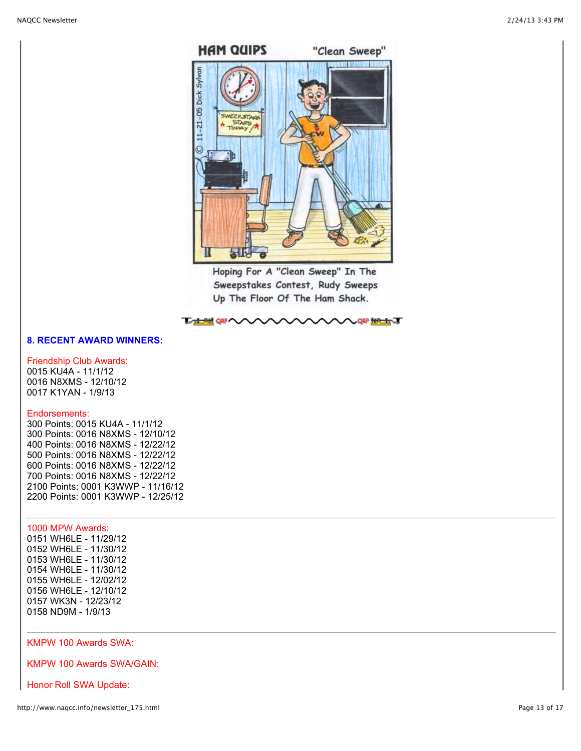

Hoping For A "Clean Sweep" In The Sweepstakes Contest, Rudy Sweeps Up The Floor Of The Ham Shack.

# **で 土地 QR へへへへへへへへへへへ QR 地土丁**

## **8. RECENT AWARD WINNERS:**

# Friendship Club Awards:

0015 KU4A - 11/1/12 0016 N8XMS - 12/10/12 0017 K1YAN - 1/9/13

## Endorsements:

300 Points: 0015 KU4A - 11/1/12 300 Points: 0016 N8XMS - 12/10/12 400 Points: 0016 N8XMS - 12/22/12 500 Points: 0016 N8XMS - 12/22/12 600 Points: 0016 N8XMS - 12/22/12 700 Points: 0016 N8XMS - 12/22/12 2100 Points: 0001 K3WWP - 11/16/12 2200 Points: 0001 K3WWP - 12/25/12

# 1000 MPW Awards:

0151 WH6LE - 11/29/12 0152 WH6LE - 11/30/12 0153 WH6LE - 11/30/12 0154 WH6LE - 11/30/12 0155 WH6LE - 12/02/12 0156 WH6LE - 12/10/12 0157 WK3N - 12/23/12 0158 ND9M - 1/9/13

## KMPW 100 Awards SWA:

KMPW 100 Awards SWA/GAIN:

Honor Roll SWA Update: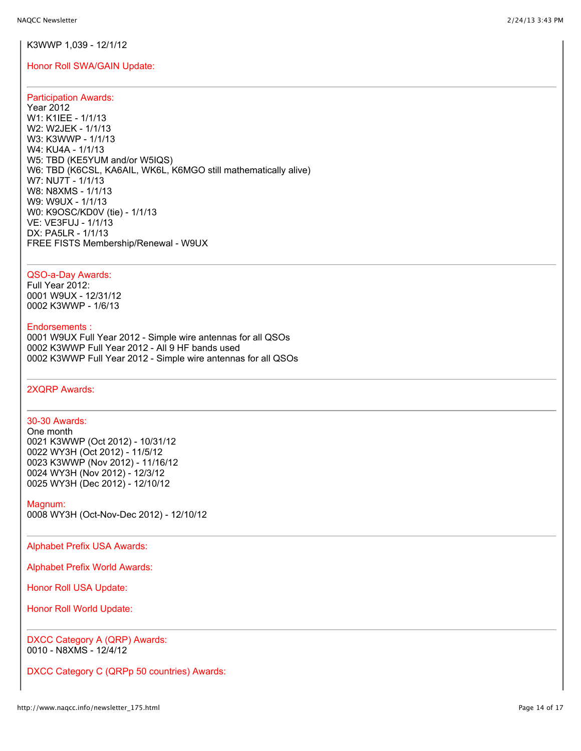## K3WWP 1,039 - 12/1/12

## Honor Roll SWA/GAIN Update:

## Participation Awards:

Year 2012 W1: K1IEE - 1/1/13 W2: W2JEK - 1/1/13 W3: K3WWP - 1/1/13 W4: KU4A - 1/1/13 W5: TBD (KE5YUM and/or W5IQS) W6: TBD (K6CSL, KA6AIL, WK6L, K6MGO still mathematically alive) W7: NU7T - 1/1/13 W8: N8XMS - 1/1/13 W9: W9UX - 1/1/13 W0: K9OSC/KD0V (tie) - 1/1/13 VE: VE3FUJ - 1/1/13 DX: PA5LR - 1/1/13 FREE FISTS Membership/Renewal - W9UX

## QSO-a-Day Awards:

Full Year 2012: 0001 W9UX - 12/31/12 0002 K3WWP - 1/6/13

## Endorsements :

0001 W9UX Full Year 2012 - Simple wire antennas for all QSOs 0002 K3WWP Full Year 2012 - All 9 HF bands used 0002 K3WWP Full Year 2012 - Simple wire antennas for all QSOs

## 2XQRP Awards:

### 30-30 Awards:

One month 0021 K3WWP (Oct 2012) - 10/31/12 0022 WY3H (Oct 2012) - 11/5/12 0023 K3WWP (Nov 2012) - 11/16/12 0024 WY3H (Nov 2012) - 12/3/12 0025 WY3H (Dec 2012) - 12/10/12

Magnum:

0008 WY3H (Oct-Nov-Dec 2012) - 12/10/12

Alphabet Prefix USA Awards:

Alphabet Prefix World Awards:

Honor Roll USA Update:

Honor Roll World Update:

DXCC Category A (QRP) Awards: 0010 - N8XMS - 12/4/12

DXCC Category C (QRPp 50 countries) Awards: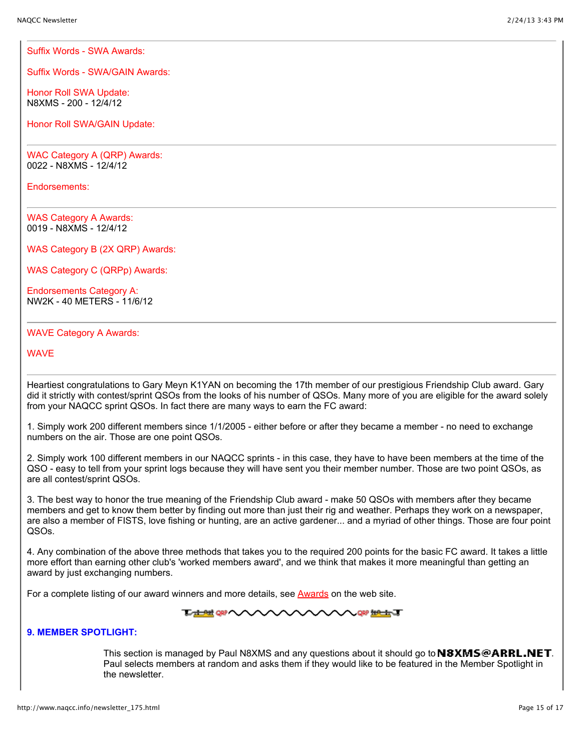Suffix Words - SWA Awards:

Suffix Words - SWA/GAIN Awards:

Honor Roll SWA Update: N8XMS - 200 - 12/4/12

Honor Roll SWA/GAIN Update:

WAC Category A (QRP) Awards: 0022 - N8XMS - 12/4/12

Endorsements:

WAS Category A Awards: 0019 - N8XMS - 12/4/12

WAS Category B (2X QRP) Awards:

WAS Category C (QRPp) Awards:

Endorsements Category A: NW2K - 40 METERS - 11/6/12

## WAVE Category A Awards:

**WAV<sub>E</sub>** 

Heartiest congratulations to Gary Meyn K1YAN on becoming the 17th member of our prestigious Friendship Club award. Gary did it strictly with contest/sprint QSOs from the looks of his number of QSOs. Many more of you are eligible for the award solely from your NAQCC sprint QSOs. In fact there are many ways to earn the FC award:

1. Simply work 200 different members since 1/1/2005 - either before or after they became a member - no need to exchange numbers on the air. Those are one point QSOs.

2. Simply work 100 different members in our NAQCC sprints - in this case, they have to have been members at the time of the QSO - easy to tell from your sprint logs because they will have sent you their member number. Those are two point QSOs, as are all contest/sprint QSOs.

3. The best way to honor the true meaning of the Friendship Club award - make 50 QSOs with members after they became members and get to know them better by finding out more than just their rig and weather. Perhaps they work on a newspaper, are also a member of FISTS, love fishing or hunting, are an active gardener... and a myriad of other things. Those are four point QSOs.

4. Any combination of the above three methods that takes you to the required 200 points for the basic FC award. It takes a little more effort than earning other club's 'worked members award', and we think that makes it more meaningful than getting an award by just exchanging numbers.

For a complete listing of our award winners and more details, see [Awards](http://www.naqcc.info/awards.html) on the web site.

**TATHE ORP AVAVA NAV QRP #PE#QT** 

# **9. MEMBER SPOTLIGHT:**

This section is managed by Paul N8XMS and any questions about it should go to  $N8XMS@ARRL.NET$ . Paul selects members at random and asks them if they would like to be featured in the Member Spotlight in the newsletter.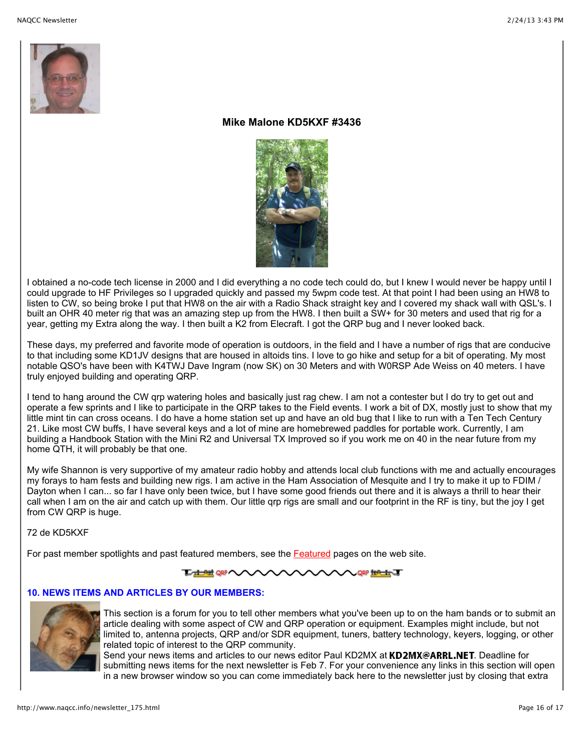

# **Mike Malone KD5KXF #3436**



I obtained a no-code tech license in 2000 and I did everything a no code tech could do, but I knew I would never be happy until I could upgrade to HF Privileges so I upgraded quickly and passed my 5wpm code test. At that point I had been using an HW8 to listen to CW, so being broke I put that HW8 on the air with a Radio Shack straight key and I covered my shack wall with QSL's. I built an OHR 40 meter rig that was an amazing step up from the HW8. I then built a SW+ for 30 meters and used that rig for a year, getting my Extra along the way. I then built a K2 from Elecraft. I got the QRP bug and I never looked back.

These days, my preferred and favorite mode of operation is outdoors, in the field and I have a number of rigs that are conducive to that including some KD1JV designs that are housed in altoids tins. I love to go hike and setup for a bit of operating. My most notable QSO's have been with K4TWJ Dave Ingram (now SK) on 30 Meters and with W0RSP Ade Weiss on 40 meters. I have truly enjoyed building and operating QRP.

I tend to hang around the CW qrp watering holes and basically just rag chew. I am not a contester but I do try to get out and operate a few sprints and I like to participate in the QRP takes to the Field events. I work a bit of DX, mostly just to show that my little mint tin can cross oceans. I do have a home station set up and have an old bug that I like to run with a Ten Tech Century 21. Like most CW buffs, I have several keys and a lot of mine are homebrewed paddles for portable work. Currently, I am building a Handbook Station with the Mini R2 and Universal TX Improved so if you work me on 40 in the near future from my home QTH, it will probably be that one.

My wife Shannon is very supportive of my amateur radio hobby and attends local club functions with me and actually encourages my forays to ham fests and building new rigs. I am active in the Ham Association of Mesquite and I try to make it up to FDIM / Dayton when I can... so far I have only been twice, but I have some good friends out there and it is always a thrill to hear their call when I am on the air and catch up with them. Our little qrp rigs are small and our footprint in the RF is tiny, but the joy I get from CW QRP is huge.

72 de KD5KXF

For past member spotlights and past featured members, see the [Featured](http://www.naqcc.info/pictures_featured.html) pages on the web site.



# **10. NEWS ITEMS AND ARTICLES BY OUR MEMBERS:**



This section is a forum for you to tell other members what you've been up to on the ham bands or to submit an article dealing with some aspect of CW and QRP operation or equipment. Examples might include, but not limited to, antenna projects, QRP and/or SDR equipment, tuners, battery technology, keyers, logging, or other related topic of interest to the QRP community.

Send your news items and articles to our news editor Paul KD2MX at KD2MX@ARRL.NET. Deadline for submitting news items for the next newsletter is Feb 7. For your convenience any links in this section will open in a new browser window so you can come immediately back here to the newsletter just by closing that extra